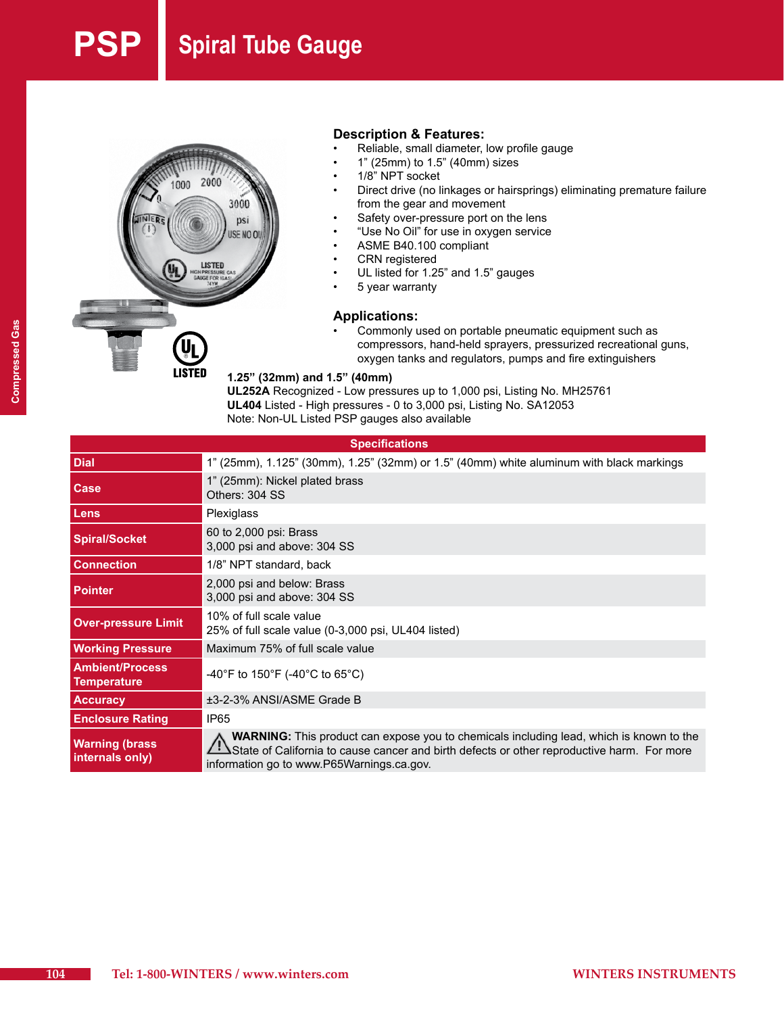# **Spiral Tube Gauge**



#### **Description & Features:**

- Reliable, small diameter, low profile gauge
- $1"$  (25mm) to  $1.5"$  (40mm) sizes
- 1/8" NPT socket
- Direct drive (no linkages or hairsprings) eliminating premature failure from the gear and movement
- Safety over-pressure port on the lens
- "Use No Oil" for use in oxygen service
- ASME B40.100 compliant
- **CRN** registered
- UL listed for 1.25" and 1.5" gauges
- 5 year warranty

#### **Applications:**

Commonly used on portable pneumatic equipment such as compressors, hand-held sprayers, pressurized recreational guns, oxygen tanks and regulators, pumps and fire extinguishers

#### **1.25" (32mm) and 1.5" (40mm)**

**UL252A** Recognized - Low pressures up to 1,000 psi, Listing No. MH25761 **UL404** Listed - High pressures - 0 to 3,000 psi, Listing No. SA12053 Note: Non-UL Listed PSP gauges also available

#### **Specifications Dial** 1" (25mm), 1.125" (30mm), 1.25" (32mm) or 1.5" (40mm) white aluminum with black markings **Case** 1" (25mm): Nickel plated brass Others: 304 SS **Lens Plexiglass Spiral/Socket** <sup>60</sup> to 2,000 psi: Brass 3,000 psi and above: 304 SS **Connection** 1/8" NPT standard, back **Pointer** 2,000 psi and below: Brass 3,000 psi and above: 304 SS **Over-pressure Limit** 10% of full scale value 25% of full scale value (0-3,000 psi, UL404 listed) **Working Pressure** Maximum 75% of full scale value **Ambient/Process Temperature 32 COVEC 150°F (-40°C to 65°C)**<br>Temperature **Accuracy** ±3-2-3% ANSI/ASME Grade B **Enclosure Rating IP65 Warning (brass internals only) WARNING:** This product can expose you to chemicals including lead, which is known to the State of California to cause cancer and birth defects or other reproductive harm. For more information go to www.P65Warnings.ca.gov.